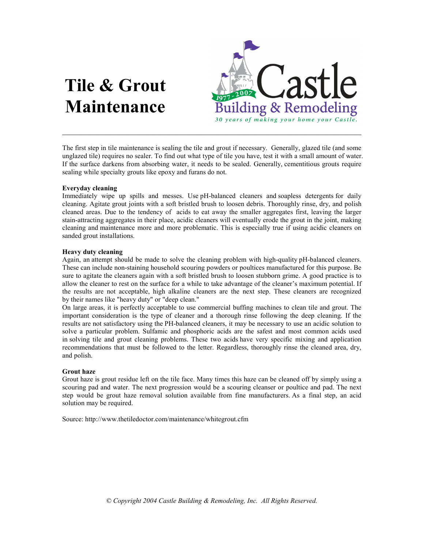# Tile & Grout Maintenance



The first step in tile maintenance is sealing the tile and grout if necessary. Generally, glazed tile (and some unglazed tile) requires no sealer. To find out what type of tile you have, test it with a small amount of water. If the surface darkens from absorbing water, it needs to be sealed. Generally, cementitious grouts require sealing while specialty grouts like epoxy and furans do not.

# Everyday cleaning

Immediately wipe up spills and messes. Use pH-balanced cleaners and soapless detergents for daily cleaning. Agitate grout joints with a soft bristled brush to loosen debris. Thoroughly rinse, dry, and polish cleaned areas. Due to the tendency of acids to eat away the smaller aggregates first, leaving the larger stain-attracting aggregates in their place, acidic cleaners will eventually erode the grout in the joint, making cleaning and maintenance more and more problematic. This is especially true if using acidic cleaners on sanded grout installations.

## Heavy duty cleaning

Again, an attempt should be made to solve the cleaning problem with high-quality pH-balanced cleaners. These can include non-staining household scouring powders or poultices manufactured for this purpose. Be sure to agitate the cleaners again with a soft bristled brush to loosen stubborn grime. A good practice is to allow the cleaner to rest on the surface for a while to take advantage of the cleaner's maximum potential. If the results are not acceptable, high alkaline cleaners are the next step. These cleaners are recognized by their names like "heavy duty" or "deep clean."

On large areas, it is perfectly acceptable to use commercial buffing machines to clean tile and grout. The important consideration is the type of cleaner and a thorough rinse following the deep cleaning. If the results are not satisfactory using the PH-balanced cleaners, it may be necessary to use an acidic solution to solve a particular problem. Sulfamic and phosphoric acids are the safest and most common acids used in solving tile and grout cleaning problems. These two acids have very specific mixing and application recommendations that must be followed to the letter. Regardless, thoroughly rinse the cleaned area, dry, and polish.

# Grout haze

Grout haze is grout residue left on the tile face. Many times this haze can be cleaned off by simply using a scouring pad and water. The next progression would be a scouring cleanser or poultice and pad. The next step would be grout haze removal solution available from fine manufacturers. As a final step, an acid solution may be required.

Source: http://www.thetiledoctor.com/maintenance/whitegrout.cfm